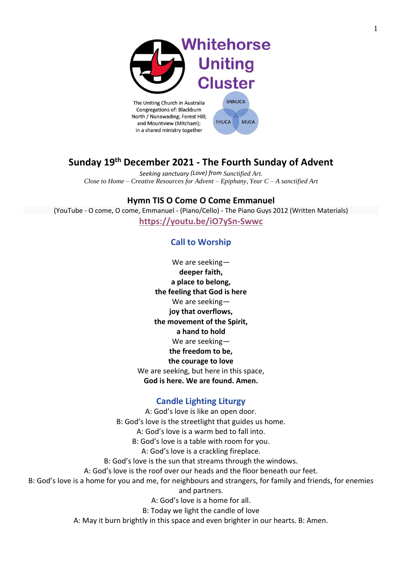

# **Sunday 19th December 2021 - The Fourth Sunday of Advent**

*Seeking sanctuary (Love) from Sanctified Art. Close to Home – Creative Resources for Advent – Epiphany, Year C – A sanctified Art*

## **Hymn TIS O Come O Come Emmanuel**

(YouTube - O come, O come, Emmanuel - (Piano/Cello) - The Piano Guys 2012 (Written Materials) **<https://youtu.be/iO7ySn-Swwc>**

## **Call to Worship**

We are seeking **deeper faith, a place to belong, the feeling that God is here** We are seeking **joy that overflows, the movement of the Spirit, a hand to hold** We are seeking **the freedom to be, the courage to love** We are seeking, but here in this space, **God is here. We are found. Amen.**

## **Candle Lighting Liturgy**

A: God's love is like an open door. B: God's love is the streetlight that guides us home. A: God's love is a warm bed to fall into. B: God's love is a table with room for you. A: God's love is a crackling fireplace. B: God's love is the sun that streams through the windows. A: God's love is the roof over our heads and the floor beneath our feet. B: God's love is a home for you and me, for neighbours and strangers, for family and friends, for enemies and partners. A: God's love is a home for all. B: Today we light the candle of love A: May it burn brightly in this space and even brighter in our hearts. B: Amen.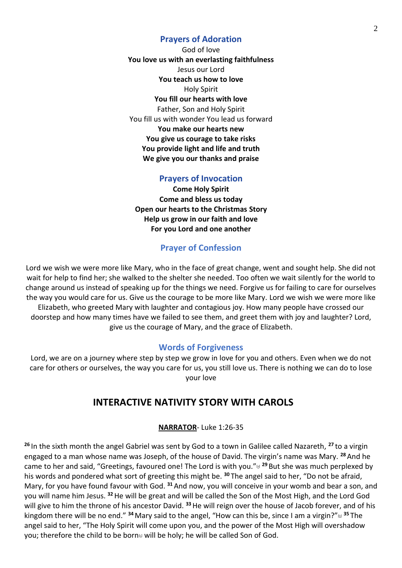#### **Prayers of Adoration**

God of love **You love us with an everlasting faithfulness** Jesus our Lord **You teach us how to love** Holy Spirit **You fill our hearts with love** Father, Son and Holy Spirit You fill us with wonder You lead us forward **You make our hearts new You give us courage to take risks You provide light and life and truth We give you our thanks and praise**

#### **Prayers of Invocation**

**Come Holy Spirit Come and bless us today Open our hearts to the Christmas Story Help us grow in our faith and love For you Lord and one another**

## **Prayer of Confession**

Lord we wish we were more like Mary, who in the face of great change, went and sought help. She did not wait for help to find her; she walked to the shelter she needed. Too often we wait silently for the world to change around us instead of speaking up for the things we need. Forgive us for failing to care for ourselves the way you would care for us. Give us the courage to be more like Mary. Lord we wish we were more like Elizabeth, who greeted Mary with laughter and contagious joy. How many people have crossed our doorstep and how many times have we failed to see them, and greet them with joy and laughter? Lord, give us the courage of Mary, and the grace of Elizabeth.

#### **Words of Forgiveness**

Lord, we are on a journey where step by step we grow in love for you and others. Even when we do not care for others or ourselves, the way you care for us, you still love us. There is nothing we can do to lose your love

# **INTERACTIVE NATIVITY STORY WITH CAROLS**

#### **NARRATOR**- Luke 1:26-35

**<sup>26</sup>** In the sixth month the angel Gabriel was sent by God to a town in Galilee called Nazareth, **<sup>27</sup>** to a virgin engaged to a man whose name was Joseph, of the house of David. The virgin's name was Mary. **<sup>28</sup>**And he came to her and said, "Greetings, favoured one! The Lord is with you."[\[a\]](https://www.biblegateway.com/passage/?search=Luke+1%3A26-35+++++++++++++++++++++++++&version=NRSV#fen-NRSV-24914a) **<sup>29</sup>** But she was much perplexed by his words and pondered what sort of greeting this might be. **<sup>30</sup>** The angel said to her, "Do not be afraid, Mary, for you have found favour with God. **<sup>31</sup>** And now, you will conceive in your womb and bear a son, and you will name him Jesus. **<sup>32</sup>**He will be great and will be called the Son of the Most High, and the Lord God will give to him the throne of his ancestor David. **<sup>33</sup>**He will reign over the house of Jacob forever, and of his kingdom there will be no end." <sup>34</sup> Mary said to the angel, "How can this be, since I am a virgin?"<sup>b</sup> <sup>35</sup> The angel said to her, "The Holy Spirit will come upon you, and the power of the Most High will overshadow you; therefore the child to be born $\omega$  will be holy; he will be called Son of God.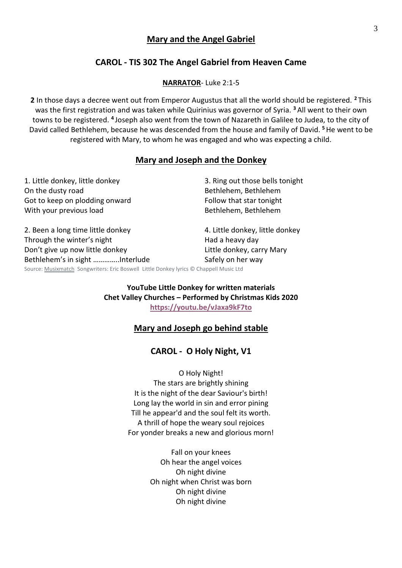## **Mary and the Angel Gabriel**

## **CAROL - TIS 302 The Angel Gabriel from Heaven Came**

**NARRATOR**- Luke 2:1-5

**2** In those days a decree went out from Emperor Augustus that all the world should be registered. **<sup>2</sup>** This was the first registration and was taken while Quirinius was governor of Syria. **<sup>3</sup>** All went to their own towns to be registered. **<sup>4</sup>** Joseph also went from the town of Nazareth in Galilee to Judea, to the city of David called Bethlehem, because he was descended from the house and family of David. **<sup>5</sup>**He went to be registered with Mary, to whom he was engaged and who was expecting a child.

## **Mary and Joseph and the Donkey**

| 1. Little donkey, little donkey | 3. Ring out those bells tonight |
|---------------------------------|---------------------------------|
| On the dusty road               | Bethlehem, Bethlehem            |
| Got to keep on plodding onward  | Follow that star tonight        |
| With your previous load         | Bethlehem, Bethlehem            |
|                                 |                                 |

2. Been a long time little donkey Through the winter's night Don't give up now little donkey Bethlehem's in sight …………..Interlude 4. Little donkey, little donkey Had a heavy day Little donkey, carry Mary Safely on her way Source: [Musixmatch](https://www.musixmatch.com/) Songwriters: Eric Boswell Little Donkey lyrics © Chappell Music Ltd

> **YouTube Little Donkey for written materials Chet Valley Churches – Performed by Christmas Kids 2020 <https://youtu.be/vJaxa9kF7to>**

## **Mary and Joseph go behind stable**

## **CAROL - O Holy Night, V1**

O Holy Night! The stars are brightly shining It is the night of the dear Saviour's birth! Long lay the world in sin and error pining Till he appear'd and the soul felt its worth. A thrill of hope the weary soul rejoices For yonder breaks a new and glorious morn!

> Fall on your knees Oh hear the angel voices Oh night divine Oh night when Christ was born Oh night divine Oh night divine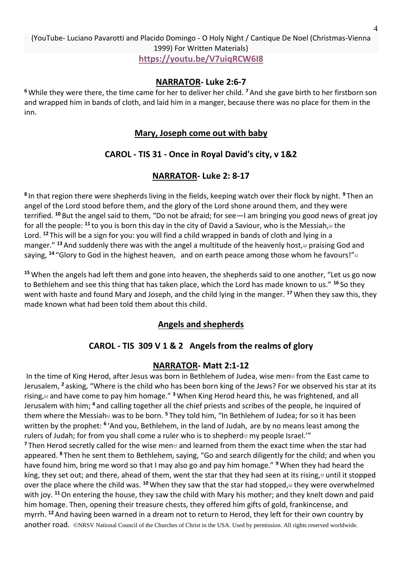# **NARRATOR- Luke 2:6-7**

**<sup>6</sup>** While they were there, the time came for her to deliver her child. **<sup>7</sup>** And she gave birth to her firstborn son and wrapped him in bands of cloth, and laid him in a manger, because there was no place for them in the inn.

# **Mary, Joseph come out with baby**

# **CAROL - TIS 31 - Once in Royal David's city, v 1&2**

# **NARRATOR- Luke 2: 8-17**

**8** In that region there were shepherds living in the fields, keeping watch over their flock by night. **<sup>9</sup>** Then an angel of the Lord stood before them, and the glory of the Lord shone around them, and they were terrified. **<sup>10</sup>** But the angel said to them, "Do not be afraid; for see—I am bringing you good news of great joy for all the people: <sup>11</sup> to you is born this day in the city of David a Saviour, who is the Messiah,<sup>[\[a\]](https://www.biblegateway.com/passage/?search=Luke+2%3A+8-17+++++++++++++++++++++++&version=NRSV#fen-NRSV-24977a)</sup> the Lord. **<sup>12</sup>** This will be a sign for you: you will find a child wrapped in bands of cloth and lying in a manger." <sup>13</sup> And suddenly there was with the angel a multitude of the heavenly host,<sup>[\[b\]](https://www.biblegateway.com/passage/?search=Luke+2%3A+8-17+++++++++++++++++++++++&version=NRSV#fen-NRSV-24979b)</sup> praising God and saying, <sup>14</sup> "Glory to God in the highest heaven, and on earth peace among those whom he favours!"

**<sup>15</sup>** When the angels had left them and gone into heaven, the shepherds said to one another, "Let us go now to Bethlehem and see this thing that has taken place, which the Lord has made known to us." **<sup>16</sup>** So they went with haste and found Mary and Joseph, and the child lying in the manger. **<sup>17</sup>** When they saw this, they made known what had been told them about this child.

# **Angels and shepherds**

# **CAROL - TIS 309 V 1 & 2 Angels from the realms of glory**

# **NARRATOR- Matt 2:1-12**

In the time of King Herod, after Jesus was born in Bethlehem of Judea, wise men<sup>[\[a\]](https://www.biblegateway.com/passage/?search=Matt+2%3A1-12+++++++++++++++++++++++++++++++++&version=NRSV#fen-NRSV-23171a)</sup> from the East came to Jerusalem, **<sup>2</sup>** asking, "Where is the child who has been born king of the Jews? For we observed his star at its rising,<sup>[\[b\]](https://www.biblegateway.com/passage/?search=Matt+2%3A1-12+++++++++++++++++++++++++++++++++&version=NRSV#fen-NRSV-23172b)</sup> and have come to pay him homage." <sup>3</sup> When King Herod heard this, he was frightened, and all Jerusalem with him; **<sup>4</sup>** and calling together all the chief priests and scribes of the people, he inquired of them where the Messiah<sup>a</sup> was to be born. <sup>5</sup> They told him, "In Bethlehem of Judea; for so it has been written by the prophet: <sup>6</sup> 'And you, Bethlehem, in the land of Judah, are by no means least among the rulers of Judah; for from you shall come a ruler who is to shepherd<sup>om</sup> my people Israel."

7 Then Herod secretly called for the wise men<sup>®</sup> and learned from them the exact time when the star had appeared. **<sup>8</sup>** Then he sent them to Bethlehem, saying, "Go and search diligently for the child; and when you have found him, bring me word so that I may also go and pay him homage." **<sup>9</sup>** When they had heard the king, they set out; and there, ahead of them, went the star that they had seen at its rising,<sup>[1]</sup> until it stopped over the place where the child was. <sup>10</sup> When they saw that the star had stopped,<sup>[\[g\]](https://www.biblegateway.com/passage/?search=Matt+2%3A1-12+++++++++++++++++++++++++++++++++&version=NRSV#fen-NRSV-23180g)</sup> they were overwhelmed with joy. **<sup>11</sup>**On entering the house, they saw the child with Mary his mother; and they knelt down and paid him homage. Then, opening their treasure chests, they offered him gifts of gold, frankincense, and myrrh. **<sup>12</sup>** And having been warned in a dream not to return to Herod, they left for their own country by another road. ©NRSV National Council of the Churches of Christ in the USA. Used by permission. All rights reserved worldwide.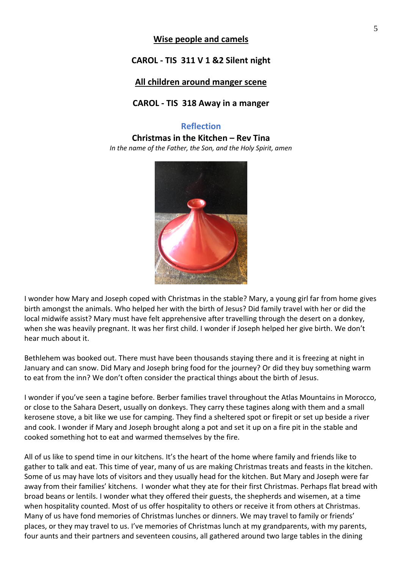## **Wise people and camels**

## **CAROL - TIS 311 V 1 &2 Silent night**

### **All children around manger scene**

#### **CAROL - TIS 318 Away in a manger**

#### **Reflection**

### **Christmas in the Kitchen – Rev Tina**

*In the name of the Father, the Son, and the Holy Spirit, amen*



I wonder how Mary and Joseph coped with Christmas in the stable? Mary, a young girl far from home gives birth amongst the animals. Who helped her with the birth of Jesus? Did family travel with her or did the local midwife assist? Mary must have felt apprehensive after travelling through the desert on a donkey, when she was heavily pregnant. It was her first child. I wonder if Joseph helped her give birth. We don't hear much about it.

Bethlehem was booked out. There must have been thousands staying there and it is freezing at night in January and can snow. Did Mary and Joseph bring food for the journey? Or did they buy something warm to eat from the inn? We don't often consider the practical things about the birth of Jesus.

I wonder if you've seen a tagine before. Berber families travel throughout the Atlas Mountains in Morocco, or close to the Sahara Desert, usually on donkeys. They carry these tagines along with them and a small kerosene stove, a bit like we use for camping. They find a sheltered spot or firepit or set up beside a river and cook. I wonder if Mary and Joseph brought along a pot and set it up on a fire pit in the stable and cooked something hot to eat and warmed themselves by the fire.

All of us like to spend time in our kitchens. It's the heart of the home where family and friends like to gather to talk and eat. This time of year, many of us are making Christmas treats and feasts in the kitchen. Some of us may have lots of visitors and they usually head for the kitchen. But Mary and Joseph were far away from their families' kitchens. I wonder what they ate for their first Christmas. Perhaps flat bread with broad beans or lentils. I wonder what they offered their guests, the shepherds and wisemen, at a time when hospitality counted. Most of us offer hospitality to others or receive it from others at Christmas. Many of us have fond memories of Christmas lunches or dinners. We may travel to family or friends' places, or they may travel to us. I've memories of Christmas lunch at my grandparents, with my parents, four aunts and their partners and seventeen cousins, all gathered around two large tables in the dining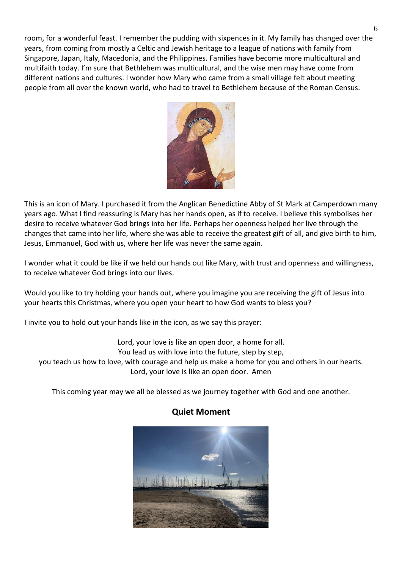room, for a wonderful feast. I remember the pudding with sixpences in it. My family has changed over the years, from coming from mostly a Celtic and Jewish heritage to a league of nations with family from Singapore, Japan, Italy, Macedonia, and the Philippines. Families have become more multicultural and multifaith today. I'm sure that Bethlehem was multicultural, and the wise men may have come from different nations and cultures. I wonder how Mary who came from a small village felt about meeting people from all over the known world, who had to travel to Bethlehem because of the Roman Census.



This is an icon of Mary. I purchased it from the Anglican Benedictine Abby of St Mark at Camperdown many years ago. What I find reassuring is Mary has her hands open, as if to receive. I believe this symbolises her desire to receive whatever God brings into her life. Perhaps her openness helped her live through the changes that came into her life, where she was able to receive the greatest gift of all, and give birth to him, Jesus, Emmanuel, God with us, where her life was never the same again.

I wonder what it could be like if we held our hands out like Mary, with trust and openness and willingness, to receive whatever God brings into our lives.

Would you like to try holding your hands out, where you imagine you are receiving the gift of Jesus into your hearts this Christmas, where you open your heart to how God wants to bless you?

I invite you to hold out your hands like in the icon, as we say this prayer:

Lord, your love is like an open door, a home for all. You lead us with love into the future, step by step,

you teach us how to love, with courage and help us make a home for you and others in our hearts. Lord, your love is like an open door. Amen

This coming year may we all be blessed as we journey together with God and one another.



# **Quiet Moment**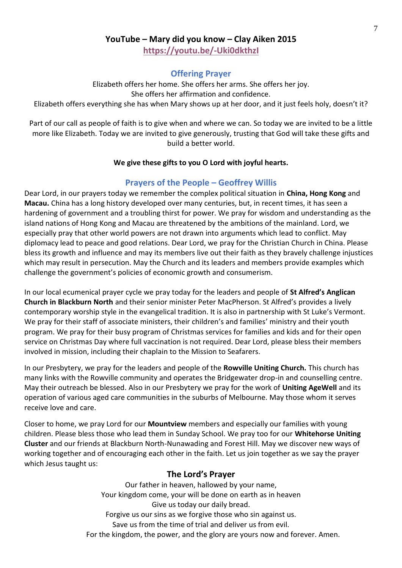# **YouTube – Mary did you know – Clay Aiken 2015**

**<https://youtu.be/-Uki0dkthzI>**

# **Offering Prayer**

Elizabeth offers her home. She offers her arms. She offers her joy. She offers her affirmation and confidence.

Elizabeth offers everything she has when Mary shows up at her door, and it just feels holy, doesn't it?

Part of our call as people of faith is to give when and where we can. So today we are invited to be a little more like Elizabeth. Today we are invited to give generously, trusting that God will take these gifts and build a better world.

## **We give these gifts to you O Lord with joyful hearts.**

# **Prayers of the People – Geoffrey Willis**

Dear Lord, in our prayers today we remember the complex political situation in **China, Hong Kong** and **Macau.** China has a long history developed over many centuries, but, in recent times, it has seen a hardening of government and a troubling thirst for power. We pray for wisdom and understanding as the island nations of Hong Kong and Macau are threatened by the ambitions of the mainland. Lord, we especially pray that other world powers are not drawn into arguments which lead to conflict. May diplomacy lead to peace and good relations. Dear Lord, we pray for the Christian Church in China. Please bless its growth and influence and may its members live out their faith as they bravely challenge injustices which may result in persecution. May the Church and its leaders and members provide examples which challenge the government's policies of economic growth and consumerism.

In our local ecumenical prayer cycle we pray today for the leaders and people of **St Alfred's Anglican Church in Blackburn North** and their senior minister Peter MacPherson. St Alfred's provides a lively contemporary worship style in the evangelical tradition. It is also in partnership with St Luke's Vermont. We pray for their staff of associate ministers, their children's and families' ministry and their youth program. We pray for their busy program of Christmas services for families and kids and for their open service on Christmas Day where full vaccination is not required. Dear Lord, please bless their members involved in mission, including their chaplain to the Mission to Seafarers.

In our Presbytery, we pray for the leaders and people of the **Rowville Uniting Church.** This church has many links with the Rowville community and operates the Bridgewater drop-in and counselling centre. May their outreach be blessed. Also in our Presbytery we pray for the work of **Uniting AgeWell** and its operation of various aged care communities in the suburbs of Melbourne. May those whom it serves receive love and care.

Closer to home, we pray Lord for our **Mountview** members and especially our families with young children. Please bless those who lead them in Sunday School. We pray too for our **Whitehorse Uniting Cluster** and our friends at Blackburn North-Nunawading and Forest Hill. May we discover new ways of working together and of encouraging each other in the faith. Let us join together as we say the prayer which Jesus taught us:

## **The Lord's Prayer**

Our father in heaven, hallowed by your name, Your kingdom come, your will be done on earth as in heaven Give us today our daily bread. Forgive us our sins as we forgive those who sin against us. Save us from the time of trial and deliver us from evil. For the kingdom, the power, and the glory are yours now and forever. Amen.